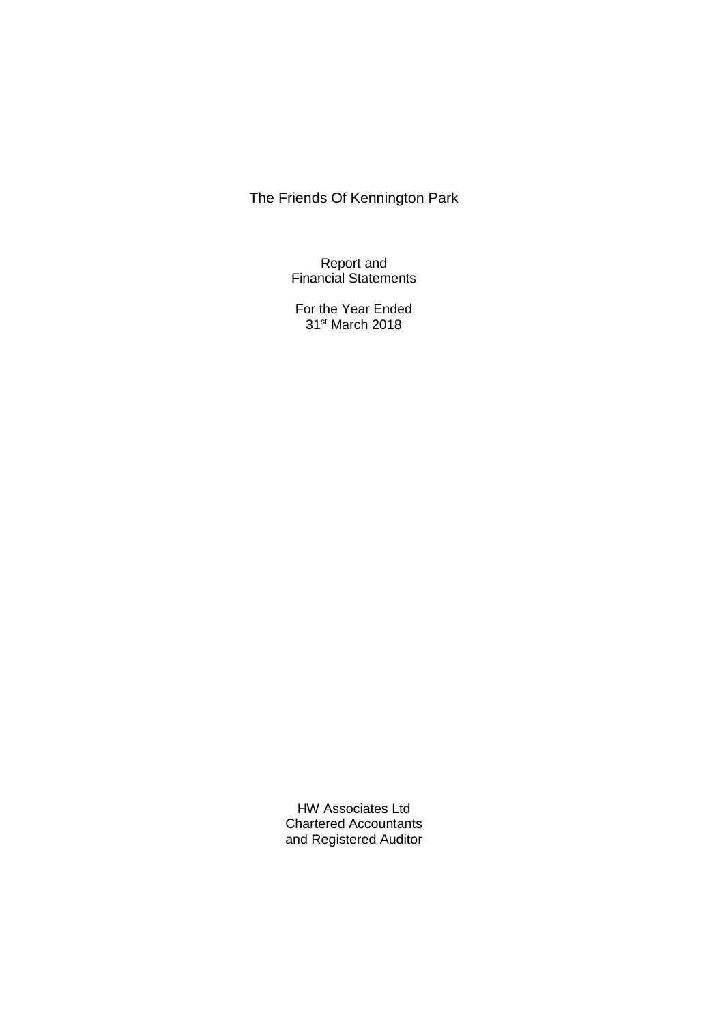Report and Financial Statements

For the Year Ended 31st March 2018

HW Associates Ltd Chartered Accountants and Registered Auditor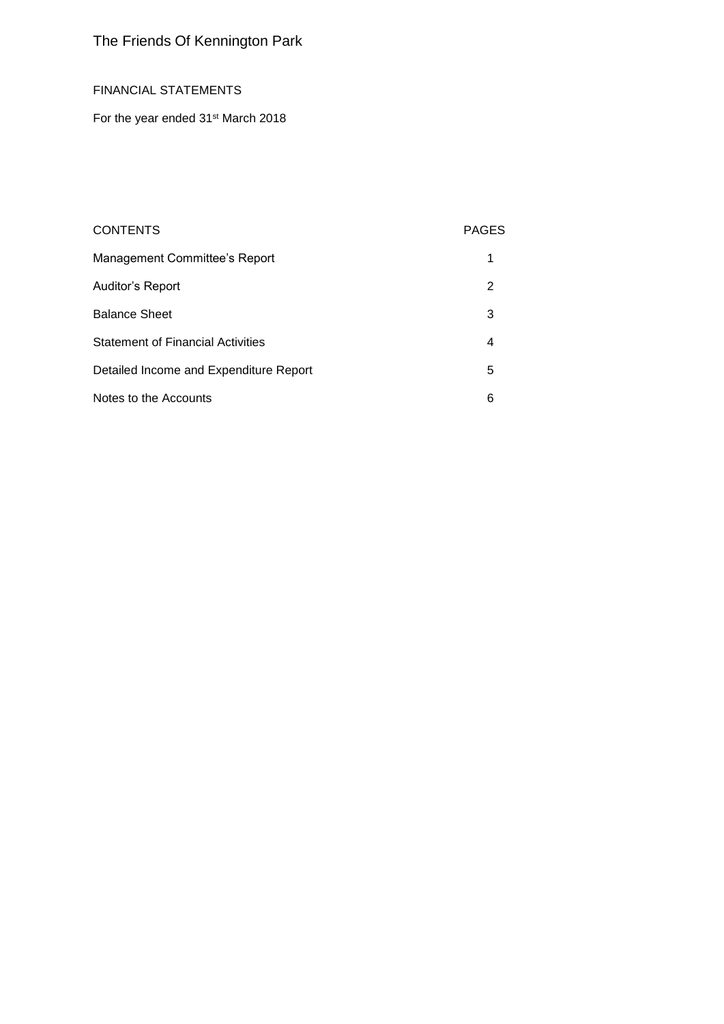# FINANCIAL STATEMENTS

For the year ended 31<sup>st</sup> March 2018

# CONTENTS PAGES

| Management Committee's Report            |   |
|------------------------------------------|---|
| Auditor's Report                         | 2 |
| <b>Balance Sheet</b>                     | 3 |
| <b>Statement of Financial Activities</b> | 4 |
| Detailed Income and Expenditure Report   | 5 |
| Notes to the Accounts                    | 6 |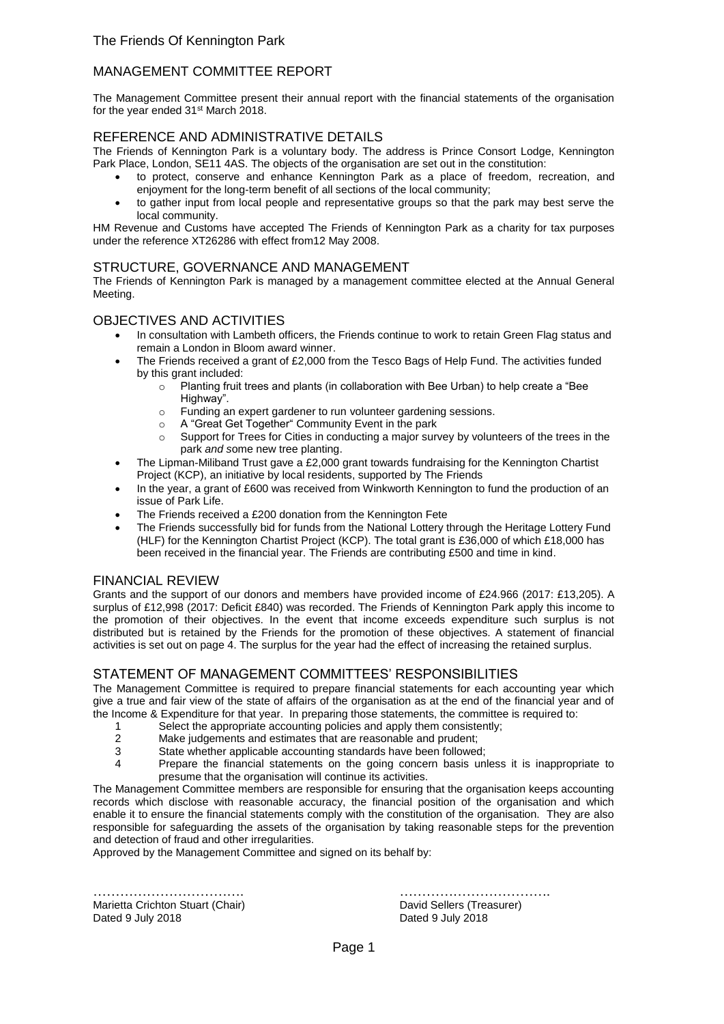# MANAGEMENT COMMITTEE REPORT

The Management Committee present their annual report with the financial statements of the organisation for the year ended 31<sup>st</sup> March 2018.

# REFERENCE AND ADMINISTRATIVE DETAILS

The Friends of Kennington Park is a voluntary body. The address is Prince Consort Lodge, Kennington Park Place, London, SE11 4AS. The objects of the organisation are set out in the constitution:

- to protect, conserve and enhance Kennington Park as a place of freedom, recreation, and enjoyment for the long-term benefit of all sections of the local community;
- to gather input from local people and representative groups so that the park may best serve the local community.

HM Revenue and Customs have accepted The Friends of Kennington Park as a charity for tax purposes under the reference XT26286 with effect from12 May 2008.

### STRUCTURE, GOVERNANCE AND MANAGEMENT

The Friends of Kennington Park is managed by a management committee elected at the Annual General Meeting.

### OBJECTIVES AND ACTIVITIES

- In consultation with Lambeth officers, the Friends continue to work to retain Green Flag status and remain a London in Bloom award winner.
- The Friends received a grant of £2,000 from the Tesco Bags of Help Fund. The activities funded by this grant included:
	- $\circ$  Planting fruit trees and plants (in collaboration with Bee Urban) to help create a "Bee Highway".
	- o Funding an expert gardener to run volunteer gardening sessions.
	- o A "Great Get Together" Community Event in the park
	- $\circ$  Support for Trees for Cities in conducting a major survey by volunteers of the trees in the park *and s*ome new tree planting.
- The Lipman-Miliband Trust gave a £2,000 grant towards fundraising for the Kennington Chartist Project (KCP), an initiative by local residents, supported by The Friends
- In the vear, a grant of £600 was received from Winkworth Kennington to fund the production of an issue of Park Life.
- The Friends received a £200 donation from the Kennington Fete
- The Friends successfully bid for funds from the National Lottery through the Heritage Lottery Fund (HLF) for the Kennington Chartist Project (KCP). The total grant is £36,000 of which £18,000 has been received in the financial year. The Friends are contributing £500 and time in kind.

# FINANCIAL REVIEW

Grants and the support of our donors and members have provided income of £24.966 (2017: £13,205). A surplus of £12,998 (2017: Deficit £840) was recorded. The Friends of Kennington Park apply this income to the promotion of their objectives. In the event that income exceeds expenditure such surplus is not distributed but is retained by the Friends for the promotion of these objectives. A statement of financial activities is set out on page 4. The surplus for the year had the effect of increasing the retained surplus.

# STATEMENT OF MANAGEMENT COMMITTEES' RESPONSIBILITIES

The Management Committee is required to prepare financial statements for each accounting year which give a true and fair view of the state of affairs of the organisation as at the end of the financial year and of the Income & Expenditure for that year. In preparing those statements, the committee is required to:

- 
- 1 Select the appropriate accounting policies and apply them consistently;<br>2 Make iudgements and estimates that are reasonable and prudent:
- 2 Make judgements and estimates that are reasonable and prudent;<br>3 State whether applicable accounting standards have been followed State whether applicable accounting standards have been followed;
- 4 Prepare the financial statements on the going concern basis unless it is inappropriate to presume that the organisation will continue its activities.

The Management Committee members are responsible for ensuring that the organisation keeps accounting records which disclose with reasonable accuracy, the financial position of the organisation and which enable it to ensure the financial statements comply with the constitution of the organisation. They are also responsible for safeguarding the assets of the organisation by taking reasonable steps for the prevention and detection of fraud and other irregularities.

Approved by the Management Committee and signed on its behalf by:

Marietta Crichton Stuart (Chair) **David Sellers (Treasurer)** David Sellers (Treasurer) Dated 9 July 2018 Dated 9 July 2018

……………………………. …………………………….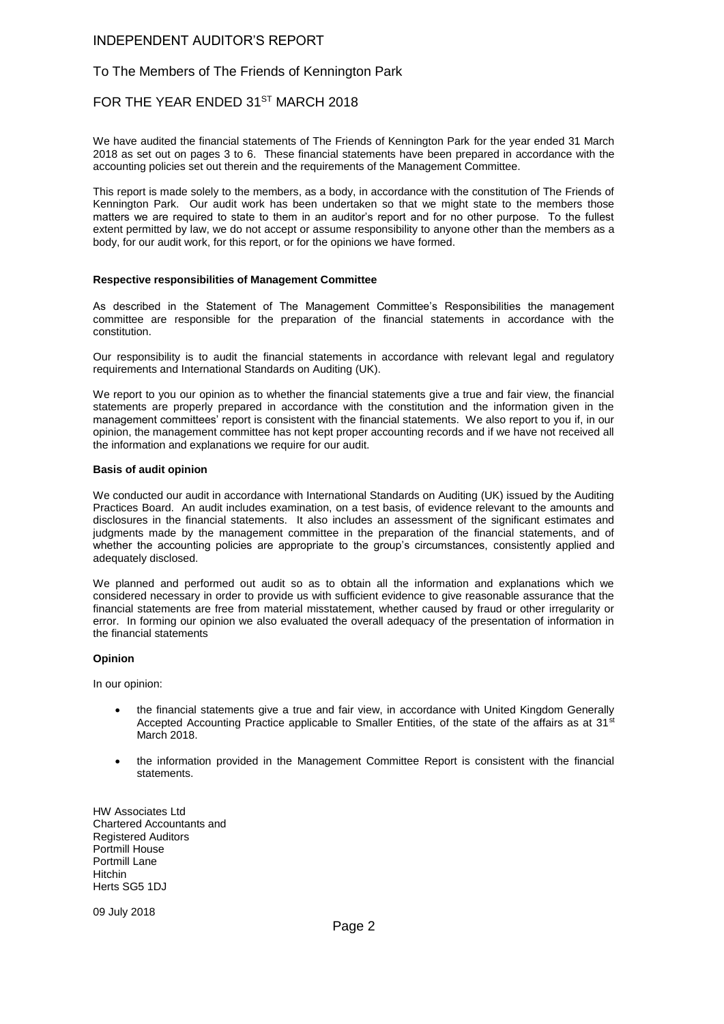### INDEPENDENT AUDITOR'S REPORT

### To The Members of The Friends of Kennington Park

### FOR THE YEAR ENDED 31ST MARCH 2018

We have audited the financial statements of The Friends of Kennington Park for the year ended 31 March 2018 as set out on pages 3 to 6. These financial statements have been prepared in accordance with the accounting policies set out therein and the requirements of the Management Committee.

This report is made solely to the members, as a body, in accordance with the constitution of The Friends of Kennington Park. Our audit work has been undertaken so that we might state to the members those matters we are required to state to them in an auditor's report and for no other purpose. To the fullest extent permitted by law, we do not accept or assume responsibility to anyone other than the members as a body, for our audit work, for this report, or for the opinions we have formed.

#### **Respective responsibilities of Management Committee**

As described in the Statement of The Management Committee's Responsibilities the management committee are responsible for the preparation of the financial statements in accordance with the constitution.

Our responsibility is to audit the financial statements in accordance with relevant legal and regulatory requirements and International Standards on Auditing (UK).

We report to you our opinion as to whether the financial statements give a true and fair view, the financial statements are properly prepared in accordance with the constitution and the information given in the management committees' report is consistent with the financial statements. We also report to you if, in our opinion, the management committee has not kept proper accounting records and if we have not received all the information and explanations we require for our audit.

#### **Basis of audit opinion**

We conducted our audit in accordance with International Standards on Auditing (UK) issued by the Auditing Practices Board. An audit includes examination, on a test basis, of evidence relevant to the amounts and disclosures in the financial statements. It also includes an assessment of the significant estimates and judgments made by the management committee in the preparation of the financial statements, and of whether the accounting policies are appropriate to the group's circumstances, consistently applied and adequately disclosed.

We planned and performed out audit so as to obtain all the information and explanations which we considered necessary in order to provide us with sufficient evidence to give reasonable assurance that the financial statements are free from material misstatement, whether caused by fraud or other irregularity or error. In forming our opinion we also evaluated the overall adequacy of the presentation of information in the financial statements

#### **Opinion**

In our opinion:

- the financial statements give a true and fair view, in accordance with United Kingdom Generally Accepted Accounting Practice applicable to Smaller Entities, of the state of the affairs as at 31<sup>st</sup> March 2018.
- the information provided in the Management Committee Report is consistent with the financial statements.

HW Associates Ltd Chartered Accountants and Registered Auditors Portmill House Portmill Lane Hitchin Herts SG5 1DJ

09 July 2018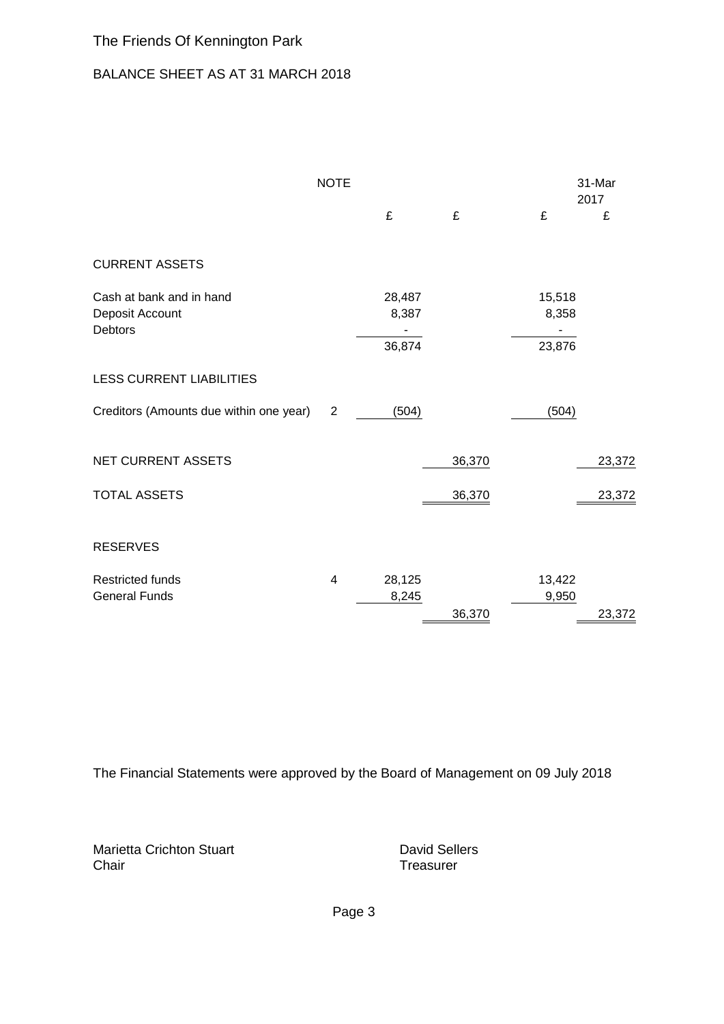# BALANCE SHEET AS AT 31 MARCH 2018

|                                                               | <b>NOTE</b>             |                           |        |                           | 31-Mar<br>2017 |
|---------------------------------------------------------------|-------------------------|---------------------------|--------|---------------------------|----------------|
|                                                               |                         | £                         | £      | £                         | £              |
| <b>CURRENT ASSETS</b>                                         |                         |                           |        |                           |                |
| Cash at bank and in hand<br>Deposit Account<br><b>Debtors</b> |                         | 28,487<br>8,387<br>36,874 |        | 15,518<br>8,358<br>23,876 |                |
| <b>LESS CURRENT LIABILITIES</b>                               |                         |                           |        |                           |                |
| Creditors (Amounts due within one year)                       | 2                       | (504)                     |        | (504)                     |                |
| <b>NET CURRENT ASSETS</b>                                     |                         |                           | 36,370 |                           | 23,372         |
| <b>TOTAL ASSETS</b>                                           |                         |                           | 36,370 |                           | 23,372         |
| <b>RESERVES</b>                                               |                         |                           |        |                           |                |
| <b>Restricted funds</b><br><b>General Funds</b>               | $\overline{\mathbf{4}}$ | 28,125<br>8,245           | 36,370 | 13,422<br>9,950           | 23,372         |

The Financial Statements were approved by the Board of Management on 09 July 2018

Marietta Crichton Stuart **David Sellers** David Sellers Chair **Chair** Treasurer

Page 3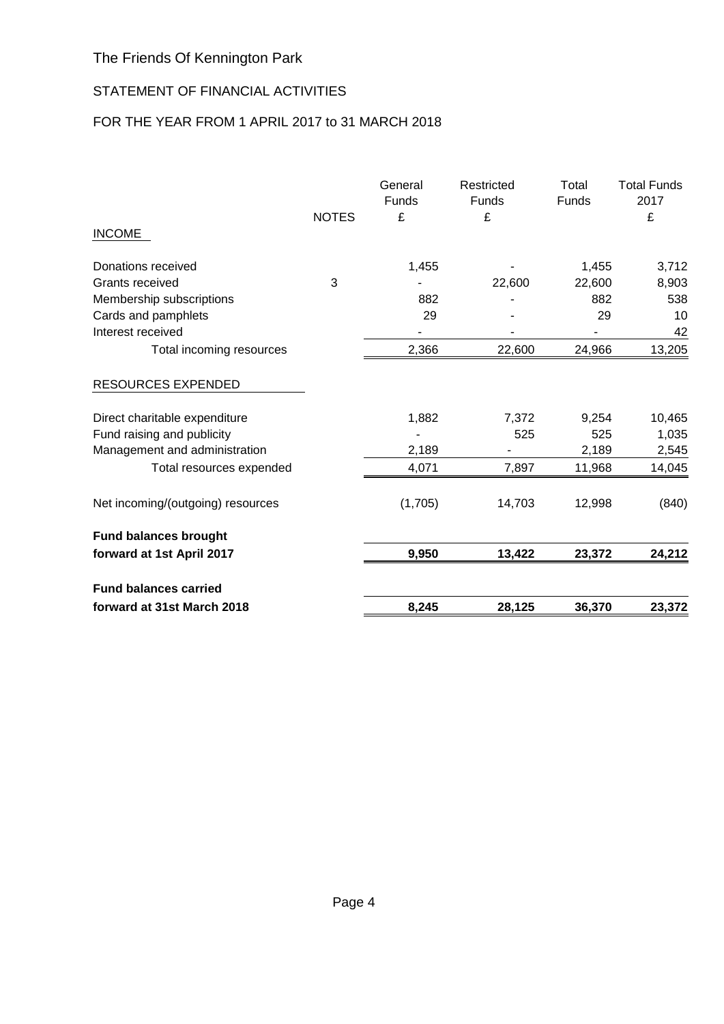# STATEMENT OF FINANCIAL ACTIVITIES

# FOR THE YEAR FROM 1 APRIL 2017 to 31 MARCH 2018

|                                   | <b>NOTES</b> | General<br>Funds<br>£ | Restricted<br><b>Funds</b><br>£ | Total<br><b>Funds</b> | <b>Total Funds</b><br>2017<br>£ |
|-----------------------------------|--------------|-----------------------|---------------------------------|-----------------------|---------------------------------|
| <b>INCOME</b>                     |              |                       |                                 |                       |                                 |
| Donations received                |              | 1,455                 |                                 | 1,455                 | 3,712                           |
| Grants received                   | 3            |                       | 22,600                          | 22,600                | 8,903                           |
| Membership subscriptions          |              | 882                   |                                 | 882                   | 538                             |
| Cards and pamphlets               |              | 29                    |                                 | 29                    | 10                              |
| Interest received                 |              |                       |                                 |                       | 42                              |
| Total incoming resources          |              | 2,366                 | 22,600                          | 24,966                | 13,205                          |
| RESOURCES EXPENDED                |              |                       |                                 |                       |                                 |
| Direct charitable expenditure     |              | 1,882                 | 7,372                           | 9,254                 | 10,465                          |
| Fund raising and publicity        |              |                       | 525                             | 525                   | 1,035                           |
| Management and administration     |              | 2,189                 |                                 | 2,189                 | 2,545                           |
| Total resources expended          |              | 4,071                 | 7,897                           | 11,968                | 14,045                          |
| Net incoming/(outgoing) resources |              | (1,705)               | 14,703                          | 12,998                | (840)                           |
| <b>Fund balances brought</b>      |              |                       |                                 |                       |                                 |
| forward at 1st April 2017         |              | 9,950                 | 13,422                          | 23,372                | 24,212                          |
| <b>Fund balances carried</b>      |              |                       |                                 |                       |                                 |
| forward at 31st March 2018        |              | 8,245                 | 28,125                          | 36,370                | 23,372                          |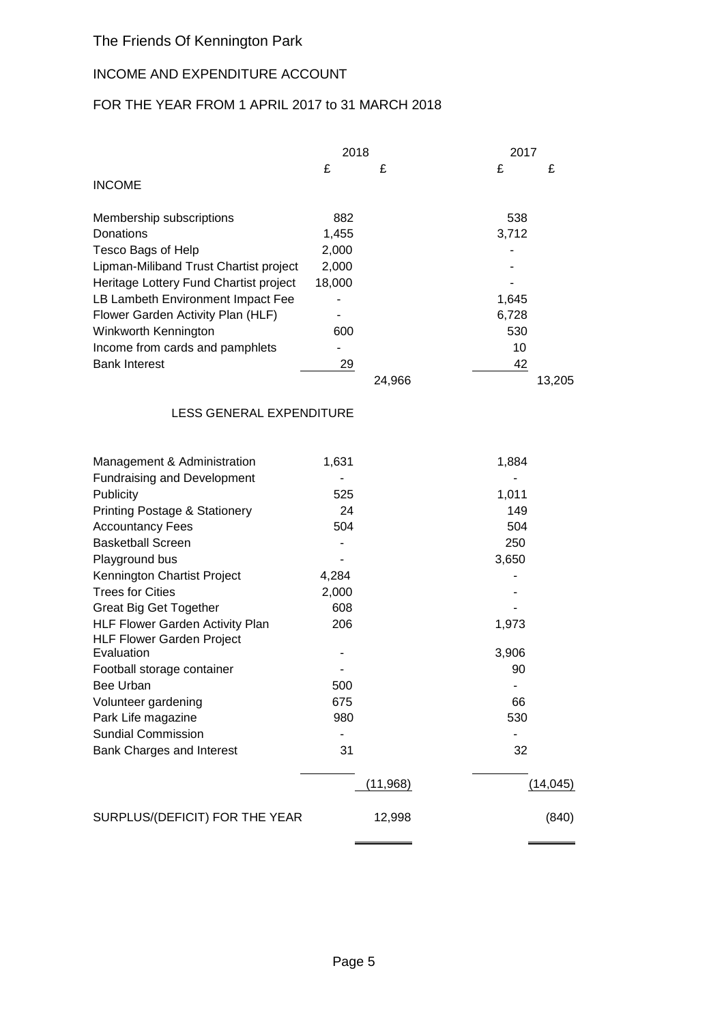# INCOME AND EXPENDITURE ACCOUNT

# FOR THE YEAR FROM 1 APRIL 2017 to 31 MARCH 2018

|                                          | 2018   |           |       | 2017      |  |  |
|------------------------------------------|--------|-----------|-------|-----------|--|--|
|                                          | £      | £         | £     | £         |  |  |
| <b>INCOME</b>                            |        |           |       |           |  |  |
|                                          |        |           |       |           |  |  |
| Membership subscriptions                 | 882    |           | 538   |           |  |  |
| Donations                                | 1,455  |           | 3,712 |           |  |  |
| Tesco Bags of Help                       | 2,000  |           |       |           |  |  |
| Lipman-Miliband Trust Chartist project   | 2,000  |           |       |           |  |  |
| Heritage Lottery Fund Chartist project   | 18,000 |           |       |           |  |  |
| LB Lambeth Environment Impact Fee        |        |           | 1,645 |           |  |  |
| Flower Garden Activity Plan (HLF)        |        |           | 6,728 |           |  |  |
| Winkworth Kennington                     | 600    |           | 530   |           |  |  |
| Income from cards and pamphlets          |        |           | 10    |           |  |  |
| <b>Bank Interest</b>                     | 29     |           | 42    |           |  |  |
|                                          |        | 24,966    |       | 13,205    |  |  |
|                                          |        |           |       |           |  |  |
| LESS GENERAL EXPENDITURE                 |        |           |       |           |  |  |
|                                          |        |           |       |           |  |  |
| Management & Administration              | 1,631  |           | 1,884 |           |  |  |
| <b>Fundraising and Development</b>       |        |           |       |           |  |  |
| Publicity                                | 525    |           | 1,011 |           |  |  |
| <b>Printing Postage &amp; Stationery</b> | 24     |           | 149   |           |  |  |
| <b>Accountancy Fees</b>                  | 504    |           | 504   |           |  |  |
| <b>Basketball Screen</b>                 | ٠      |           | 250   |           |  |  |
| Playground bus                           |        |           | 3,650 |           |  |  |
| Kennington Chartist Project              | 4,284  |           |       |           |  |  |
| <b>Trees for Cities</b>                  | 2,000  |           |       |           |  |  |
| <b>Great Big Get Together</b>            | 608    |           |       |           |  |  |
| HLF Flower Garden Activity Plan          | 206    |           | 1,973 |           |  |  |
| <b>HLF Flower Garden Project</b>         |        |           |       |           |  |  |
| Evaluation                               |        |           | 3,906 |           |  |  |
| Football storage container               |        |           | 90    |           |  |  |
| Bee Urban                                | 500    |           |       |           |  |  |
| Volunteer gardening                      | 675    |           | 66    |           |  |  |
| Park Life magazine                       | 980    |           | 530   |           |  |  |
| <b>Sundial Commission</b>                |        |           |       |           |  |  |
| Bank Charges and Interest                | 31     |           | 32    |           |  |  |
|                                          |        | (11, 968) |       | (14, 045) |  |  |
| SURPLUS/(DEFICIT) FOR THE YEAR           |        | 12,998    |       | (840)     |  |  |
|                                          |        |           |       |           |  |  |